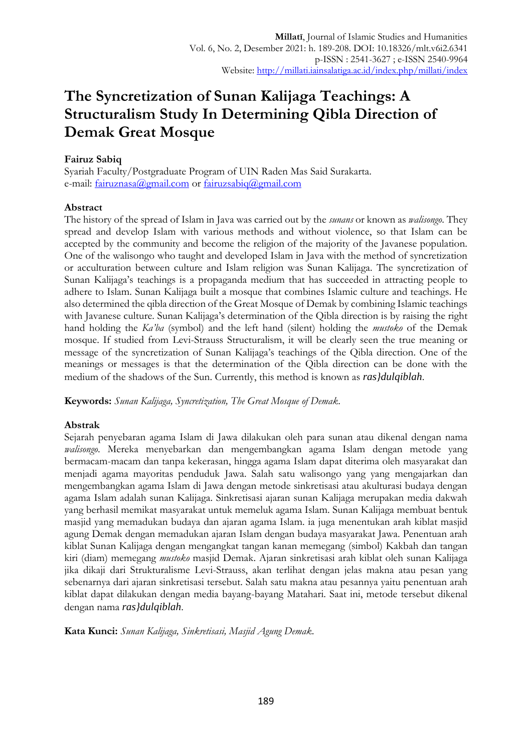# **The Syncretization of Sunan Kalijaga Teachings: A Structuralism Study In Determining Qibla Direction of Demak Great Mosque**

# **Fairuz Sabiq**

Syariah Faculty/Postgraduate Program of UIN Raden Mas Said Surakarta. e-mail: [fairuznasa@gmail.com](mailto:fairuznasa@gmail.com) or [fairuzsabiq@gmail.com](mailto:fairuzsabiq@gmail.com)

## **Abstract**

The history of the spread of Islam in Java was carried out by the *sunans* or known as *walisongo*. They spread and develop Islam with various methods and without violence, so that Islam can be accepted by the community and become the religion of the majority of the Javanese population. One of the walisongo who taught and developed Islam in Java with the method of syncretization or acculturation between culture and Islam religion was Sunan Kalijaga. The syncretization of Sunan Kalijaga's teachings is a propaganda medium that has succeeded in attracting people to adhere to Islam. Sunan Kalijaga built a mosque that combines Islamic culture and teachings. He also determined the qibla direction of the Great Mosque of Demak by combining Islamic teachings with Javanese culture. Sunan Kalijaga's determination of the Qibla direction is by raising the right hand holding the *Ka'ba* (symbol) and the left hand (silent) holding the *mustoko* of the Demak mosque. If studied from Levi-Strauss Structuralism, it will be clearly seen the true meaning or message of the syncretization of Sunan Kalijaga's teachings of the Qibla direction. One of the meanings or messages is that the determination of the Qibla direction can be done with the medium of the shadows of the Sun. Currently, this method is known as *ras}dulqiblah*.

**Keywords:** *Sunan Kalijaga, Syncretization, The Great Mosque of Demak*.

## **Abstrak**

Sejarah penyebaran agama Islam di Jawa dilakukan oleh para sunan atau dikenal dengan nama *walisongo*. Mereka menyebarkan dan mengembangkan agama Islam dengan metode yang bermacam-macam dan tanpa kekerasan, hingga agama Islam dapat diterima oleh masyarakat dan menjadi agama mayoritas penduduk Jawa. Salah satu walisongo yang yang mengajarkan dan mengembangkan agama Islam di Jawa dengan metode sinkretisasi atau akulturasi budaya dengan agama Islam adalah sunan Kalijaga. Sinkretisasi ajaran sunan Kalijaga merupakan media dakwah yang berhasil memikat masyarakat untuk memeluk agama Islam. Sunan Kalijaga membuat bentuk masjid yang memadukan budaya dan ajaran agama Islam. ia juga menentukan arah kiblat masjid agung Demak dengan memadukan ajaran Islam dengan budaya masyarakat Jawa. Penentuan arah kiblat Sunan Kalijaga dengan mengangkat tangan kanan memegang (simbol) Kakbah dan tangan kiri (diam) memegang *mustoko* masjid Demak. Ajaran sinkretisasi arah kiblat oleh sunan Kalijaga jika dikaji dari Strukturalisme Levi-Strauss, akan terlihat dengan jelas makna atau pesan yang sebenarnya dari ajaran sinkretisasi tersebut. Salah satu makna atau pesannya yaitu penentuan arah kiblat dapat dilakukan dengan media bayang-bayang Matahari. Saat ini, metode tersebut dikenal dengan nama *ras}dulqiblah*.

**Kata Kunci:** *Sunan Kalijaga, Sinkretisasi, Masjid Agung Demak*.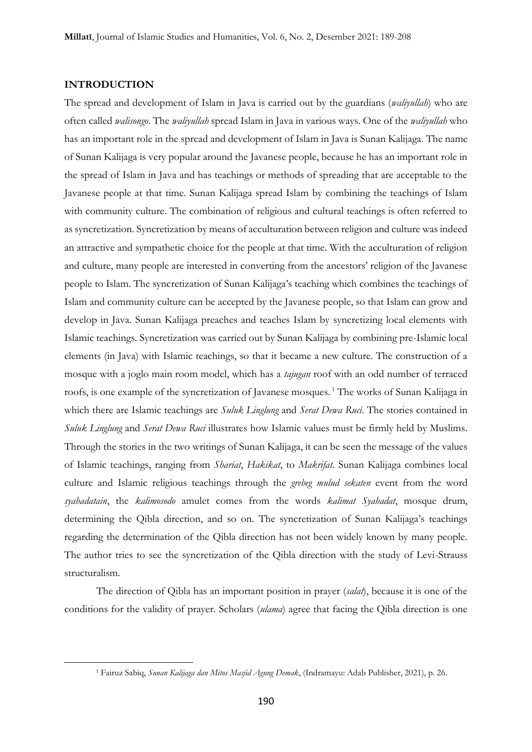#### **INTRODUCTION**

<u>.</u>

The spread and development of Islam in Java is carried out by the guardians (*waliyullah*) who are often called *walisongo*. The *waliyullah* spread Islam in Java in various ways. One of the *waliyullah* who has an important role in the spread and development of Islam in Java is Sunan Kalijaga. The name of Sunan Kalijaga is very popular around the Javanese people, because he has an important role in the spread of Islam in Java and has teachings or methods of spreading that are acceptable to the Javanese people at that time. Sunan Kalijaga spread Islam by combining the teachings of Islam with community culture. The combination of religious and cultural teachings is often referred to as syncretization. Syncretization by means of acculturation between religion and culture was indeed an attractive and sympathetic choice for the people at that time. With the acculturation of religion and culture, many people are interested in converting from the ancestors' religion of the Javanese people to Islam. The syncretization of Sunan Kalijaga's teaching which combines the teachings of Islam and community culture can be accepted by the Javanese people, so that Islam can grow and develop in Java. Sunan Kalijaga preaches and teaches Islam by syncretizing local elements with Islamic teachings. Syncretization was carried out by Sunan Kalijaga by combining pre-Islamic local elements (in Java) with Islamic teachings, so that it became a new culture. The construction of a mosque with a joglo main room model, which has a *tajugan* roof with an odd number of terraced roofs, is one example of the syncretization of Javanese mosques.<sup>1</sup> The works of Sunan Kalijaga in which there are Islamic teachings are *Suluk Linglung* and *Serat Dewa Ruci*. The stories contained in *Suluk Linglung* and *Serat Dewa Ruci* illustrates how Islamic values must be firmly held by Muslims. Through the stories in the two writings of Sunan Kalijaga, it can be seen the message of the values of Islamic teachings, ranging from *Shariat*, *Hakikat*, to *Makrifat*. Sunan Kalijaga combines local culture and Islamic religious teachings through the *grebeg mulud sekaten* event from the word *syahadatain*, the *kalimosodo* amulet comes from the words *kalimat Syahadat*, mosque drum, determining the Qibla direction, and so on. The syncretization of Sunan Kalijaga's teachings regarding the determination of the Qibla direction has not been widely known by many people. The author tries to see the syncretization of the Qibla direction with the study of Levi-Strauss structuralism.

The direction of Qibla has an important position in prayer (*salat*), because it is one of the conditions for the validity of prayer. Scholars (*ulama*) agree that facing the Qibla direction is one

<sup>1</sup> Fairuz Sabiq, *Sunan Kalijaga dan Mitos Masjid Agung Demak*, (Indramayu: Adab Publisher, 2021), p. 26.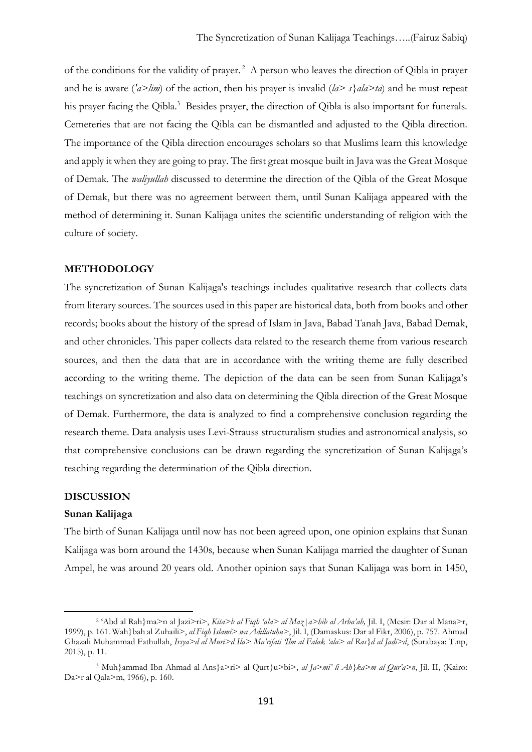of the conditions for the validity of prayer.<sup>2</sup> A person who leaves the direction of Qibla in prayer and he is aware ( $'a>lim$ ) of the action, then his prayer is invalid ( $la>s$ }*ala>ta*) and he must repeat his prayer facing the Qibla.<sup>3</sup> Besides prayer, the direction of Qibla is also important for funerals. Cemeteries that are not facing the Qibla can be dismantled and adjusted to the Qibla direction. The importance of the Qibla direction encourages scholars so that Muslims learn this knowledge and apply it when they are going to pray. The first great mosque built in Java was the Great Mosque of Demak. The *waliyullah* discussed to determine the direction of the Qibla of the Great Mosque of Demak, but there was no agreement between them, until Sunan Kalijaga appeared with the method of determining it. Sunan Kalijaga unites the scientific understanding of religion with the culture of society.

#### **METHODOLOGY**

The syncretization of Sunan Kalijaga's teachings includes qualitative research that collects data from literary sources. The sources used in this paper are historical data, both from books and other records; books about the history of the spread of Islam in Java, Babad Tanah Java, Babad Demak, and other chronicles. This paper collects data related to the research theme from various research sources, and then the data that are in accordance with the writing theme are fully described according to the writing theme. The depiction of the data can be seen from Sunan Kalijaga's teachings on syncretization and also data on determining the Qibla direction of the Great Mosque of Demak. Furthermore, the data is analyzed to find a comprehensive conclusion regarding the research theme. Data analysis uses Levi-Strauss structuralism studies and astronomical analysis, so that comprehensive conclusions can be drawn regarding the syncretization of Sunan Kalijaga's teaching regarding the determination of the Qibla direction.

#### **DISCUSSION**

#### **Sunan Kalijaga**

<u>.</u>

The birth of Sunan Kalijaga until now has not been agreed upon, one opinion explains that Sunan Kalijaga was born around the 1430s, because when Sunan Kalijaga married the daughter of Sunan Ampel, he was around 20 years old. Another opinion says that Sunan Kalijaga was born in 1450,

<sup>2</sup> 'Abd al Rah}ma>n al Jazi>ri>, *Kita>b al Fiqh 'ala> al Maz|a>hib al Arba'ah,* Jil. I, (Mesir: Dar al Mana>r, 1999), p. 161. Wah}bah al Zuhaili>, *al Fiqh Islami> wa Adillatuhu>*, Jil. I, (Damaskus: Dar al Fikr, 2006), p. 757. Ahmad Ghazali Muhammad Fathullah, *Irsya>d al Muri>d Ila> Ma'rifati 'Ilm al Falak 'ala> al Ras}d al Jadi>d*, (Surabaya: T.np, 2015), p. 11.

<sup>3</sup> Muh}ammad Ibn Ahmad al Ans}a>ri> al Qurt}u>bi>, *al Ja>mi' li Ah}ka>m al Qur'a>n*, Jil. II, (Kairo: Da>r al Qala>m, 1966), p. 160.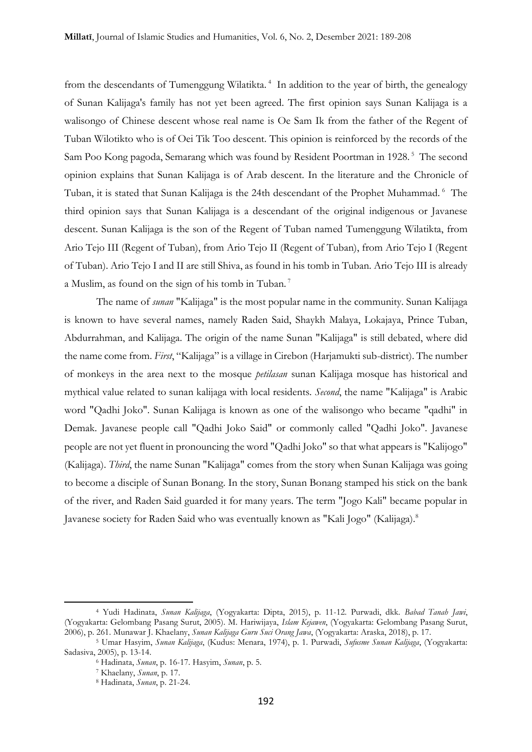from the descendants of Tumenggung Wilatikta.<sup>4</sup> In addition to the year of birth, the genealogy of Sunan Kalijaga's family has not yet been agreed. The first opinion says Sunan Kalijaga is a walisongo of Chinese descent whose real name is Oe Sam Ik from the father of the Regent of Tuban Wilotikto who is of Oei Tik Too descent. This opinion is reinforced by the records of the Sam Poo Kong pagoda, Semarang which was found by Resident Poortman in 1928.<sup>5</sup> The second opinion explains that Sunan Kalijaga is of Arab descent. In the literature and the Chronicle of Tuban, it is stated that Sunan Kalijaga is the 24th descendant of the Prophet Muhammad.<sup>6</sup> The third opinion says that Sunan Kalijaga is a descendant of the original indigenous or Javanese descent. Sunan Kalijaga is the son of the Regent of Tuban named Tumenggung Wilatikta, from Ario Tejo III (Regent of Tuban), from Ario Tejo II (Regent of Tuban), from Ario Tejo I (Regent of Tuban). Ario Tejo I and II are still Shiva, as found in his tomb in Tuban. Ario Tejo III is already a Muslim, as found on the sign of his tomb in Tuban. <sup>7</sup>

The name of *sunan* "Kalijaga" is the most popular name in the community. Sunan Kalijaga is known to have several names, namely Raden Said, Shaykh Malaya, Lokajaya, Prince Tuban, Abdurrahman, and Kalijaga. The origin of the name Sunan "Kalijaga" is still debated, where did the name come from. *First*, "Kalijaga" is a village in Cirebon (Harjamukti sub-district). The number of monkeys in the area next to the mosque *petilasan* sunan Kalijaga mosque has historical and mythical value related to sunan kalijaga with local residents. *Second*, the name "Kalijaga" is Arabic word "Qadhi Joko". Sunan Kalijaga is known as one of the walisongo who became "qadhi" in Demak. Javanese people call "Qadhi Joko Said" or commonly called "Qadhi Joko". Javanese people are not yet fluent in pronouncing the word "Qadhi Joko" so that what appears is "Kalijogo" (Kalijaga). *Third*, the name Sunan "Kalijaga" comes from the story when Sunan Kalijaga was going to become a disciple of Sunan Bonang. In the story, Sunan Bonang stamped his stick on the bank of the river, and Raden Said guarded it for many years. The term "Jogo Kali" became popular in Javanese society for Raden Said who was eventually known as "Kali Jogo" (Kalijaga).<sup>8</sup>

<sup>4</sup> Yudi Hadinata, *Sunan Kalijaga*, (Yogyakarta: Dipta, 2015), p. 11-12. Purwadi, dkk. *Babad Tanah Jawi*, (Yogyakarta: Gelombang Pasang Surut, 2005). M. Hariwijaya, *Islam Kejawen*, (Yogyakarta: Gelombang Pasang Surut, 2006), p. 261. Munawar J. Khaelany, *Sunan Kalijaga Guru Suci Orang Jawa*, (Yogyakarta: Araska, 2018), p. 17.

<sup>5</sup> Umar Hasyim, *Sunan Kalijaga*, (Kudus: Menara, 1974), p. 1. Purwadi, *Sufusme Sunan Kalijaga*, (Yogyakarta: Sadasiva, 2005), p. 13-14.

<sup>6</sup> Hadinata, *Sunan*, p. 16-17. Hasyim, *Sunan*, p. 5.

<sup>7</sup> Khaelany, *Sunan*, p. 17.

<sup>8</sup> Hadinata, *Sunan*, p. 21-24.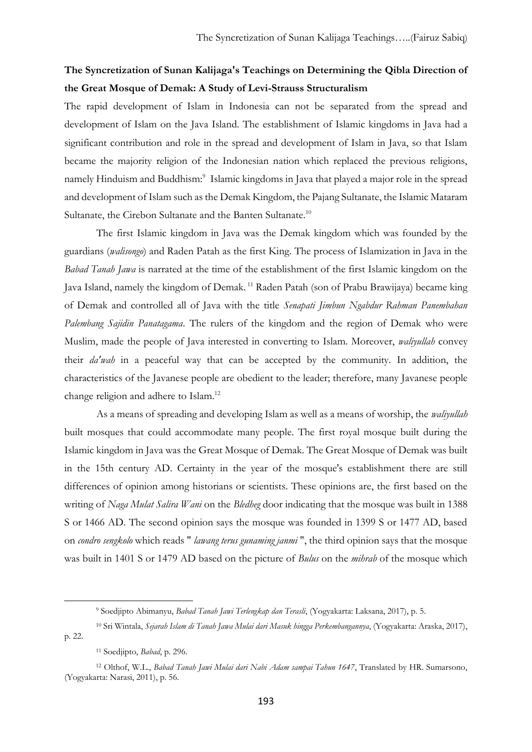# **The Syncretization of Sunan Kalijaga's Teachings on Determining the Qibla Direction of the Great Mosque of Demak: A Study of Levi-Strauss Structuralism**

The rapid development of Islam in Indonesia can not be separated from the spread and development of Islam on the Java Island. The establishment of Islamic kingdoms in Java had a significant contribution and role in the spread and development of Islam in Java, so that Islam became the majority religion of the Indonesian nation which replaced the previous religions, namely Hinduism and Buddhism:<sup>9</sup> Islamic kingdoms in Java that played a major role in the spread and development of Islam such as the Demak Kingdom, the Pajang Sultanate, the Islamic Mataram Sultanate, the Cirebon Sultanate and the Banten Sultanate.<sup>10</sup>

The first Islamic kingdom in Java was the Demak kingdom which was founded by the guardians (*walisongo*) and Raden Patah as the first King. The process of Islamization in Java in the *Babad Tanah Jawa* is narrated at the time of the establishment of the first Islamic kingdom on the Java Island, namely the kingdom of Demak. <sup>11</sup> Raden Patah (son of Prabu Brawijaya) became king of Demak and controlled all of Java with the title *Senapati Jimbun Ngabdur Rahman Panembahan Palembang Sajidin Panatagama*. The rulers of the kingdom and the region of Demak who were Muslim, made the people of Java interested in converting to Islam. Moreover, *waliyullah* convey their *da'wah* in a peaceful way that can be accepted by the community. In addition, the characteristics of the Javanese people are obedient to the leader; therefore, many Javanese people change religion and adhere to Islam.<sup>12</sup>

As a means of spreading and developing Islam as well as a means of worship, the *waliyullah* built mosques that could accommodate many people. The first royal mosque built during the Islamic kingdom in Java was the Great Mosque of Demak. The Great Mosque of Demak was built in the 15th century AD. Certainty in the year of the mosque's establishment there are still differences of opinion among historians or scientists. These opinions are, the first based on the writing of *Naga Mulat Salira Wani* on the *Bledheg* door indicating that the mosque was built in 1388 S or 1466 AD. The second opinion says the mosque was founded in 1399 S or 1477 AD, based on *condro sengkolo* which reads " *lawang terus gunaming janmi* ", the third opinion says that the mosque was built in 1401 S or 1479 AD based on the picture of *Bulus* on the *mihrab* of the mosque which

<sup>9</sup> Soedjipto Abimanyu, *Babad Tanah Jawi Terlengkap dan Terasli*, (Yogyakarta: Laksana, 2017), p. 5.

<sup>10</sup> Sri Wintala, *Sejarah Islam di Tanah Jawa Mulai dari Masuk hingga Perkembangannya*, (Yogyakarta: Araska, 2017), p. 22.

<sup>11</sup> Soedjipto, *Babad*, p. 296.

<sup>12</sup> Olthof, W.L., *Babad Tanah Jawi Mulai dari Nabi Adam sampai Tahun 1647*, Translated by HR. Sumarsono, (Yogyakarta: Narasi, 2011), p. 56.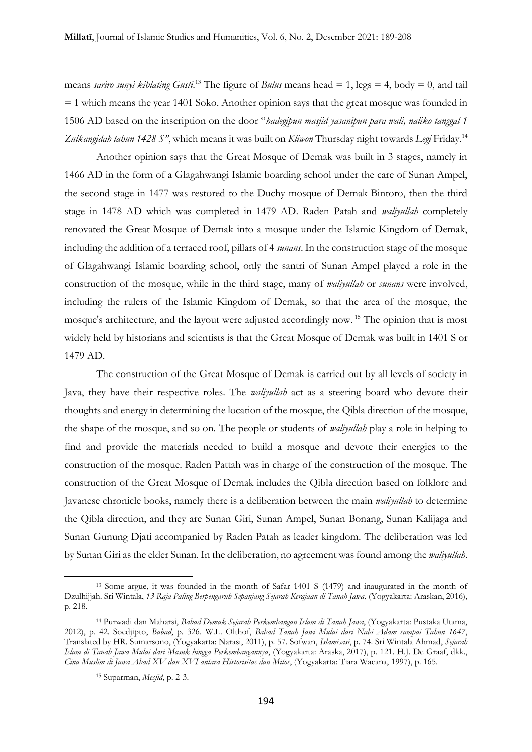means *sariro sunyi kiblating Gusti*. <sup>13</sup> The figure of *Bulus* means head = 1, legs = 4, body = 0, and tail  $= 1$  which means the year 1401 Soko. Another opinion says that the great mosque was founded in 1506 AD based on the inscription on the door "*hadegipun masjid yasanipun para wali, naliko tanggal 1 Zulkangidah tahun 1428 S"*, which means it was built on *Kliwon* Thursday night towards *Legi* Friday.<sup>14</sup>

Another opinion says that the Great Mosque of Demak was built in 3 stages, namely in 1466 AD in the form of a Glagahwangi Islamic boarding school under the care of Sunan Ampel, the second stage in 1477 was restored to the Duchy mosque of Demak Bintoro, then the third stage in 1478 AD which was completed in 1479 AD. Raden Patah and *waliyullah* completely renovated the Great Mosque of Demak into a mosque under the Islamic Kingdom of Demak, including the addition of a terraced roof, pillars of 4 *sunans*. In the construction stage of the mosque of Glagahwangi Islamic boarding school, only the santri of Sunan Ampel played a role in the construction of the mosque, while in the third stage, many of *waliyullah* or *sunans* were involved, including the rulers of the Islamic Kingdom of Demak, so that the area of the mosque, the mosque's architecture, and the layout were adjusted accordingly now. <sup>15</sup> The opinion that is most widely held by historians and scientists is that the Great Mosque of Demak was built in 1401 S or 1479 AD.

The construction of the Great Mosque of Demak is carried out by all levels of society in Java, they have their respective roles. The *waliyullah* act as a steering board who devote their thoughts and energy in determining the location of the mosque, the Qibla direction of the mosque, the shape of the mosque, and so on. The people or students of *waliyullah* play a role in helping to find and provide the materials needed to build a mosque and devote their energies to the construction of the mosque. Raden Pattah was in charge of the construction of the mosque. The construction of the Great Mosque of Demak includes the Qibla direction based on folklore and Javanese chronicle books, namely there is a deliberation between the main *waliyullah* to determine the Qibla direction, and they are Sunan Giri, Sunan Ampel, Sunan Bonang, Sunan Kalijaga and Sunan Gunung Djati accompanied by Raden Patah as leader kingdom. The deliberation was led by Sunan Giri as the elder Sunan. In the deliberation, no agreement was found among the *waliyullah*.

<sup>13</sup> Some argue, it was founded in the month of Safar 1401 S (1479) and inaugurated in the month of Dzulhijjah. Sri Wintala, *13 Raja Paling Berpengaruh Sepanjang Sejarah Kerajaan di Tanah Jawa*, (Yogyakarta: Araskan, 2016), p. 218.

<sup>14</sup> Purwadi dan Maharsi, *Babad Demak Sejarah Perkembangan Islam di Tanah Jawa*, (Yogyakarta: Pustaka Utama, 2012), p. 42. Soedjipto, *Babad*, p. 326. W.L. Olthof, *Babad Tanah Jawi Mulai dari Nabi Adam sampai Tahun 1647*, Translated by HR. Sumarsono, (Yogyakarta: Narasi, 2011), p. 57. Sofwan, *Islamisasi*, p. 74. Sri Wintala Ahmad, *Sejarah Islam di Tanah Jawa Mulai dari Masuk hingga Perkembangannya*, (Yogyakarta: Araska, 2017), p. 121. H.J. De Graaf, dkk., *Cina Muslim di Jawa Abad XV dan XVI antara Historisitas dan Mitos*, (Yogyakarta: Tiara Wacana, 1997), p. 165.

<sup>15</sup> Suparman, *Mesjid*, p. 2-3.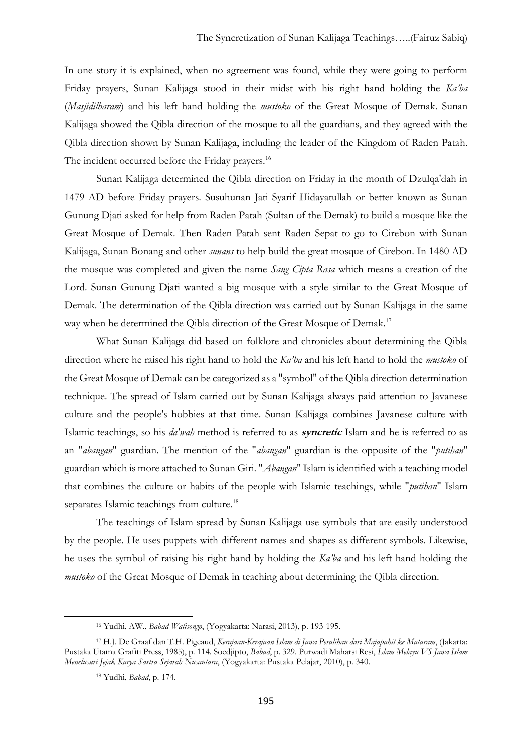In one story it is explained, when no agreement was found, while they were going to perform Friday prayers, Sunan Kalijaga stood in their midst with his right hand holding the *Ka'ba* (*Masjidilharam*) and his left hand holding the *mustoko* of the Great Mosque of Demak. Sunan Kalijaga showed the Qibla direction of the mosque to all the guardians, and they agreed with the Qibla direction shown by Sunan Kalijaga, including the leader of the Kingdom of Raden Patah. The incident occurred before the Friday prayers.<sup>16</sup>

Sunan Kalijaga determined the Qibla direction on Friday in the month of Dzulqa'dah in 1479 AD before Friday prayers. Susuhunan Jati Syarif Hidayatullah or better known as Sunan Gunung Djati asked for help from Raden Patah (Sultan of the Demak) to build a mosque like the Great Mosque of Demak. Then Raden Patah sent Raden Sepat to go to Cirebon with Sunan Kalijaga, Sunan Bonang and other *sunans* to help build the great mosque of Cirebon. In 1480 AD the mosque was completed and given the name *Sang Cipta Rasa* which means a creation of the Lord. Sunan Gunung Djati wanted a big mosque with a style similar to the Great Mosque of Demak. The determination of the Qibla direction was carried out by Sunan Kalijaga in the same way when he determined the Qibla direction of the Great Mosque of Demak.<sup>17</sup>

What Sunan Kalijaga did based on folklore and chronicles about determining the Qibla direction where he raised his right hand to hold the *Ka'ba* and his left hand to hold the *mustoko* of the Great Mosque of Demak can be categorized as a "symbol" of the Qibla direction determination technique. The spread of Islam carried out by Sunan Kalijaga always paid attention to Javanese culture and the people's hobbies at that time. Sunan Kalijaga combines Javanese culture with Islamic teachings, so his *da'wah* method is referred to as **syncretic** Islam and he is referred to as an "*abangan*" guardian. The mention of the "*abangan*" guardian is the opposite of the "*putihan*" guardian which is more attached to Sunan Giri. "*Abangan*" Islam is identified with a teaching model that combines the culture or habits of the people with Islamic teachings, while "*putihan*" Islam separates Islamic teachings from culture.<sup>18</sup>

The teachings of Islam spread by Sunan Kalijaga use symbols that are easily understood by the people. He uses puppets with different names and shapes as different symbols. Likewise, he uses the symbol of raising his right hand by holding the *Ka'ba* and his left hand holding the *mustoko* of the Great Mosque of Demak in teaching about determining the Qibla direction.

<sup>16</sup> Yudhi, AW., *Babad Walisongo*, (Yogyakarta: Narasi, 2013), p. 193-195.

<sup>17</sup> H.J. De Graaf dan T.H. Pigeaud, *Kerajaan-Kerajaan Islam di Jawa Peralihan dari Majapahit ke Mataram*, (Jakarta: Pustaka Utama Grafiti Press, 1985), p. 114. Soedjipto, *Babad*, p. 329. Purwadi Maharsi Resi, *Islam Melayu VS Jawa Islam Menelusuri Jejak Karya Sastra Sejarah Nusantara*, (Yogyakarta: Pustaka Pelajar, 2010), p. 340.

<sup>18</sup> Yudhi, *Babad*, p. 174.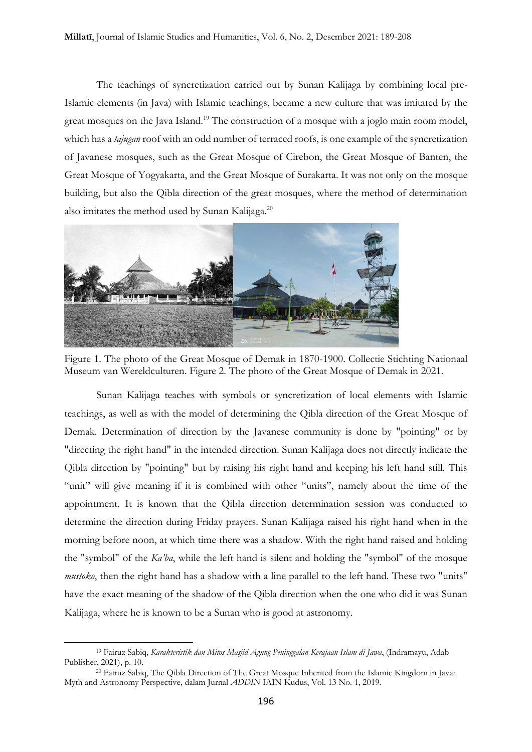The teachings of syncretization carried out by Sunan Kalijaga by combining local pre-Islamic elements (in Java) with Islamic teachings, became a new culture that was imitated by the great mosques on the Java Island.<sup>19</sup> The construction of a mosque with a joglo main room model, which has a *tajugan* roof with an odd number of terraced roofs, is one example of the syncretization of Javanese mosques, such as the Great Mosque of Cirebon, the Great Mosque of Banten, the Great Mosque of Yogyakarta, and the Great Mosque of Surakarta. It was not only on the mosque building, but also the Qibla direction of the great mosques, where the method of determination also imitates the method used by Sunan Kalijaga.<sup>20</sup>



Figure 1. The photo of the Great Mosque of Demak in 1870-1900. [Collectie Stichting Nationaal](http://collectie.wereldculturen.nl/default.aspx?idx=ALL&field=*&search=10016515)  [Museum van Wereldculturen.](http://collectie.wereldculturen.nl/default.aspx?idx=ALL&field=*&search=10016515) Figure 2. The photo of the Great Mosque of Demak in 2021.

Sunan Kalijaga teaches with symbols or syncretization of local elements with Islamic teachings, as well as with the model of determining the Qibla direction of the Great Mosque of Demak. Determination of direction by the Javanese community is done by "pointing" or by "directing the right hand" in the intended direction. Sunan Kalijaga does not directly indicate the Qibla direction by "pointing" but by raising his right hand and keeping his left hand still. This "unit" will give meaning if it is combined with other "units", namely about the time of the appointment. It is known that the Qibla direction determination session was conducted to determine the direction during Friday prayers. Sunan Kalijaga raised his right hand when in the morning before noon, at which time there was a shadow. With the right hand raised and holding the "symbol" of the *Ka'ba*, while the left hand is silent and holding the "symbol" of the mosque *mustoko*, then the right hand has a shadow with a line parallel to the left hand. These two "units" have the exact meaning of the shadow of the Qibla direction when the one who did it was Sunan Kalijaga, where he is known to be a Sunan who is good at astronomy.

<sup>19</sup> Fairuz Sabiq, *Karakteristik dan Mitos Masjid Agung Peninggalan Kerajaan Islam di Jawa*, (Indramayu, Adab Publisher, 2021), p. 10.

<sup>20</sup> Fairuz Sabiq, The Qibla Direction of The Great Mosque Inherited from the Islamic Kingdom in Java: Myth and Astronomy Perspective, dalam Jurnal *ADDIN* IAIN Kudus, Vol. 13 No. 1, 2019.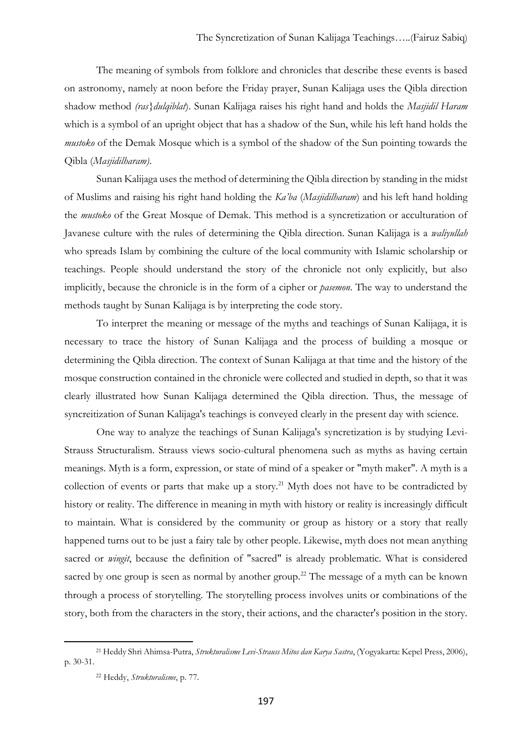The meaning of symbols from folklore and chronicles that describe these events is based on astronomy, namely at noon before the Friday prayer, Sunan Kalijaga uses the Qibla direction shadow method *(ras}dulqiblat*). Sunan Kalijaga raises his right hand and holds the *Masjidil Haram* which is a symbol of an upright object that has a shadow of the Sun, while his left hand holds the *mustoko* of the Demak Mosque which is a symbol of the shadow of the Sun pointing towards the Qibla (*Masjidilharam)*.

Sunan Kalijaga uses the method of determining the Qibla direction by standing in the midst of Muslims and raising his right hand holding the *Ka'ba* (*Masjidilharam*) and his left hand holding the *mustoko* of the Great Mosque of Demak. This method is a syncretization or acculturation of Javanese culture with the rules of determining the Qibla direction. Sunan Kalijaga is a *waliyullah* who spreads Islam by combining the culture of the local community with Islamic scholarship or teachings. People should understand the story of the chronicle not only explicitly, but also implicitly, because the chronicle is in the form of a cipher or *pasemon*. The way to understand the methods taught by Sunan Kalijaga is by interpreting the code story.

To interpret the meaning or message of the myths and teachings of Sunan Kalijaga, it is necessary to trace the history of Sunan Kalijaga and the process of building a mosque or determining the Qibla direction. The context of Sunan Kalijaga at that time and the history of the mosque construction contained in the chronicle were collected and studied in depth, so that it was clearly illustrated how Sunan Kalijaga determined the Qibla direction. Thus, the message of syncreitization of Sunan Kalijaga's teachings is conveyed clearly in the present day with science.

One way to analyze the teachings of Sunan Kalijaga's syncretization is by studying Levi-Strauss Structuralism. Strauss views socio-cultural phenomena such as myths as having certain meanings. Myth is a form, expression, or state of mind of a speaker or "myth maker". A myth is a collection of events or parts that make up a story.<sup>21</sup> Myth does not have to be contradicted by history or reality. The difference in meaning in myth with history or reality is increasingly difficult to maintain. What is considered by the community or group as history or a story that really happened turns out to be just a fairy tale by other people. Likewise, myth does not mean anything sacred or *wingit*, because the definition of "sacred" is already problematic. What is considered sacred by one group is seen as normal by another group.<sup>22</sup> The message of a myth can be known through a process of storytelling. The storytelling process involves units or combinations of the story, both from the characters in the story, their actions, and the character's position in the story.

<sup>21</sup> Heddy Shri Ahimsa-Putra, *Strukturalisme Levi-Strauss Mitos dan Karya Sastra*, (Yogyakarta: Kepel Press, 2006), p. 30-31.

<sup>22</sup> Heddy, *Strukturalisme*, p. 77.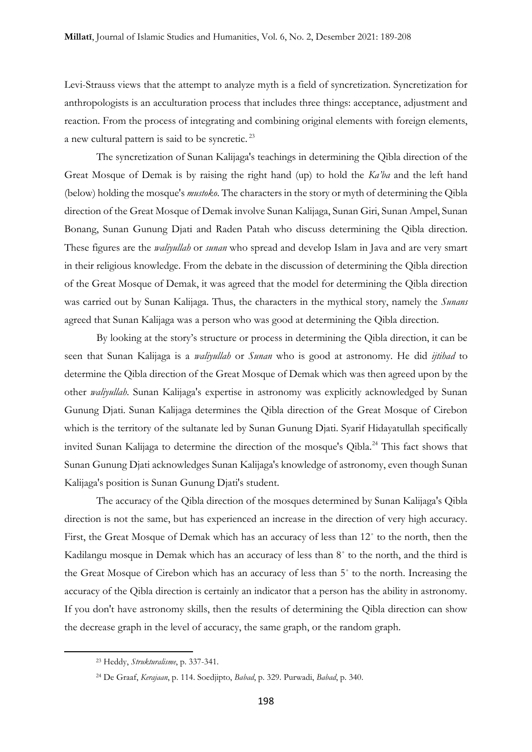Levi-Strauss views that the attempt to analyze myth is a field of syncretization. Syncretization for anthropologists is an acculturation process that includes three things: acceptance, adjustment and reaction. From the process of integrating and combining original elements with foreign elements, a new cultural pattern is said to be syncretic. <sup>23</sup>

The syncretization of Sunan Kalijaga's teachings in determining the Qibla direction of the Great Mosque of Demak is by raising the right hand (up) to hold the *Ka'ba* and the left hand (below) holding the mosque's *mustoko*. The characters in the story or myth of determining the Qibla direction of the Great Mosque of Demak involve Sunan Kalijaga, Sunan Giri, Sunan Ampel, Sunan Bonang, Sunan Gunung Djati and Raden Patah who discuss determining the Qibla direction. These figures are the *waliyullah* or *sunan* who spread and develop Islam in Java and are very smart in their religious knowledge. From the debate in the discussion of determining the Qibla direction of the Great Mosque of Demak, it was agreed that the model for determining the Qibla direction was carried out by Sunan Kalijaga. Thus, the characters in the mythical story, namely the *Sunans* agreed that Sunan Kalijaga was a person who was good at determining the Qibla direction.

By looking at the story's structure or process in determining the Qibla direction, it can be seen that Sunan Kalijaga is a *waliyullah* or *Sunan* who is good at astronomy. He did *ijtihad* to determine the Qibla direction of the Great Mosque of Demak which was then agreed upon by the other *waliyullah*. Sunan Kalijaga's expertise in astronomy was explicitly acknowledged by Sunan Gunung Djati. Sunan Kalijaga determines the Qibla direction of the Great Mosque of Cirebon which is the territory of the sultanate led by Sunan Gunung Djati. Syarif Hidayatullah specifically invited Sunan Kalijaga to determine the direction of the mosque's Qibla.<sup>24</sup> This fact shows that Sunan Gunung Djati acknowledges Sunan Kalijaga's knowledge of astronomy, even though Sunan Kalijaga's position is Sunan Gunung Djati's student.

The accuracy of the Qibla direction of the mosques determined by Sunan Kalijaga's Qibla direction is not the same, but has experienced an increase in the direction of very high accuracy. First, the Great Mosque of Demak which has an accuracy of less than 12˚ to the north, then the Kadilangu mosque in Demak which has an accuracy of less than 8˚ to the north, and the third is the Great Mosque of Cirebon which has an accuracy of less than 5˚ to the north. Increasing the accuracy of the Qibla direction is certainly an indicator that a person has the ability in astronomy. If you don't have astronomy skills, then the results of determining the Qibla direction can show the decrease graph in the level of accuracy, the same graph, or the random graph.

<sup>23</sup> Heddy, *Strukturalisme*, p. 337-341.

<sup>24</sup> De Graaf, *Kerajaan*, p. 114. Soedjipto, *Babad*, p. 329. Purwadi, *Babad*, p. 340.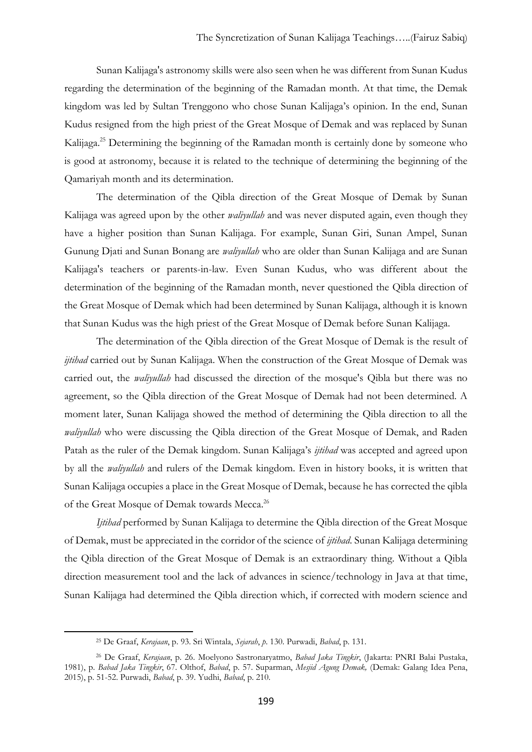Sunan Kalijaga's astronomy skills were also seen when he was different from Sunan Kudus regarding the determination of the beginning of the Ramadan month. At that time, the Demak kingdom was led by Sultan Trenggono who chose Sunan Kalijaga's opinion. In the end, Sunan Kudus resigned from the high priest of the Great Mosque of Demak and was replaced by Sunan Kalijaga.<sup>25</sup> Determining the beginning of the Ramadan month is certainly done by someone who is good at astronomy, because it is related to the technique of determining the beginning of the Qamariyah month and its determination.

The determination of the Qibla direction of the Great Mosque of Demak by Sunan Kalijaga was agreed upon by the other *waliyullah* and was never disputed again, even though they have a higher position than Sunan Kalijaga. For example, Sunan Giri, Sunan Ampel, Sunan Gunung Djati and Sunan Bonang are *waliyullah* who are older than Sunan Kalijaga and are Sunan Kalijaga's teachers or parents-in-law. Even Sunan Kudus, who was different about the determination of the beginning of the Ramadan month, never questioned the Qibla direction of the Great Mosque of Demak which had been determined by Sunan Kalijaga, although it is known that Sunan Kudus was the high priest of the Great Mosque of Demak before Sunan Kalijaga.

The determination of the Qibla direction of the Great Mosque of Demak is the result of *ijtihad* carried out by Sunan Kalijaga. When the construction of the Great Mosque of Demak was carried out, the *waliyullah* had discussed the direction of the mosque's Qibla but there was no agreement, so the Qibla direction of the Great Mosque of Demak had not been determined. A moment later, Sunan Kalijaga showed the method of determining the Qibla direction to all the *waliyullah* who were discussing the Qibla direction of the Great Mosque of Demak, and Raden Patah as the ruler of the Demak kingdom. Sunan Kalijaga's *ijtihad* was accepted and agreed upon by all the *waliyullah* and rulers of the Demak kingdom. Even in history books, it is written that Sunan Kalijaga occupies a place in the Great Mosque of Demak, because he has corrected the qibla of the Great Mosque of Demak towards Mecca.<sup>26</sup>

*Ijtihad* performed by Sunan Kalijaga to determine the Qibla direction of the Great Mosque of Demak, must be appreciated in the corridor of the science of *ijtihad*. Sunan Kalijaga determining the Qibla direction of the Great Mosque of Demak is an extraordinary thing. Without a Qibla direction measurement tool and the lack of advances in science/technology in Java at that time, Sunan Kalijaga had determined the Qibla direction which, if corrected with modern science and

-

<sup>25</sup> De Graaf, *Kerajaan*, p. 93. Sri Wintala, *Sejarah*, *p*. 130. Purwadi, *Babad*, p. 131.

<sup>26</sup> De Graaf, *Kerajaan*, p. 26. Moelyono Sastronaryatmo, *Babad Jaka Tingkir*, (Jakarta: PNRI Balai Pustaka, 1981), p. *Babad Jaka Tingkir*, 67. Olthof, *Babad*, p. 57. Suparman, *Mesjid Agung Demak,* (Demak: Galang Idea Pena, 2015), p. 51-52. Purwadi, *Babad*, p. 39. Yudhi, *Babad*, p. 210.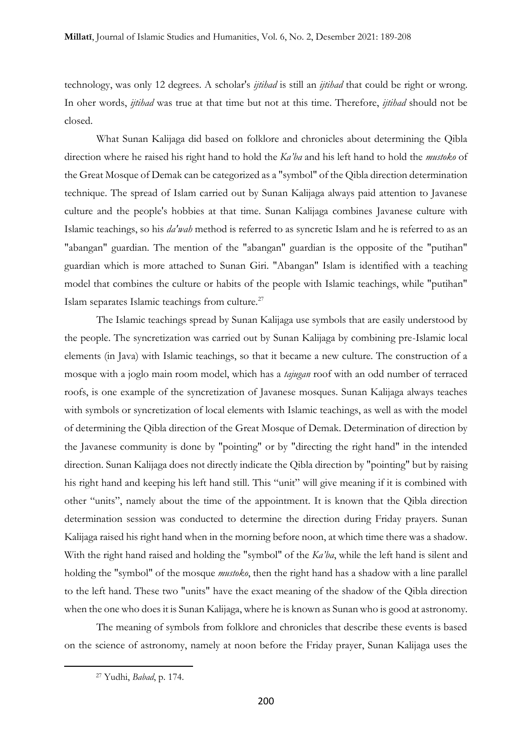technology, was only 12 degrees. A scholar's *ijtihad* is still an *ijtihad* that could be right or wrong. In oher words, *ijtihad* was true at that time but not at this time. Therefore, *ijtihad* should not be closed.

What Sunan Kalijaga did based on folklore and chronicles about determining the Qibla direction where he raised his right hand to hold the *Ka'ba* and his left hand to hold the *mustoko* of the Great Mosque of Demak can be categorized as a "symbol" of the Qibla direction determination technique. The spread of Islam carried out by Sunan Kalijaga always paid attention to Javanese culture and the people's hobbies at that time. Sunan Kalijaga combines Javanese culture with Islamic teachings, so his *da'wah* method is referred to as syncretic Islam and he is referred to as an "abangan" guardian. The mention of the "abangan" guardian is the opposite of the "putihan" guardian which is more attached to Sunan Giri. "Abangan" Islam is identified with a teaching model that combines the culture or habits of the people with Islamic teachings, while "putihan" Islam separates Islamic teachings from culture.<sup>27</sup>

The Islamic teachings spread by Sunan Kalijaga use symbols that are easily understood by the people. The syncretization was carried out by Sunan Kalijaga by combining pre-Islamic local elements (in Java) with Islamic teachings, so that it became a new culture. The construction of a mosque with a joglo main room model, which has a *tajugan* roof with an odd number of terraced roofs, is one example of the syncretization of Javanese mosques. Sunan Kalijaga always teaches with symbols or syncretization of local elements with Islamic teachings, as well as with the model of determining the Qibla direction of the Great Mosque of Demak. Determination of direction by the Javanese community is done by "pointing" or by "directing the right hand" in the intended direction. Sunan Kalijaga does not directly indicate the Qibla direction by "pointing" but by raising his right hand and keeping his left hand still. This "unit" will give meaning if it is combined with other "units", namely about the time of the appointment. It is known that the Qibla direction determination session was conducted to determine the direction during Friday prayers. Sunan Kalijaga raised his right hand when in the morning before noon, at which time there was a shadow. With the right hand raised and holding the "symbol" of the *Ka'ba*, while the left hand is silent and holding the "symbol" of the mosque *mustoko*, then the right hand has a shadow with a line parallel to the left hand. These two "units" have the exact meaning of the shadow of the Qibla direction when the one who does it is Sunan Kalijaga, where he is known as Sunan who is good at astronomy.

The meaning of symbols from folklore and chronicles that describe these events is based on the science of astronomy, namely at noon before the Friday prayer, Sunan Kalijaga uses the

-

<sup>27</sup> Yudhi, *Babad*, p. 174.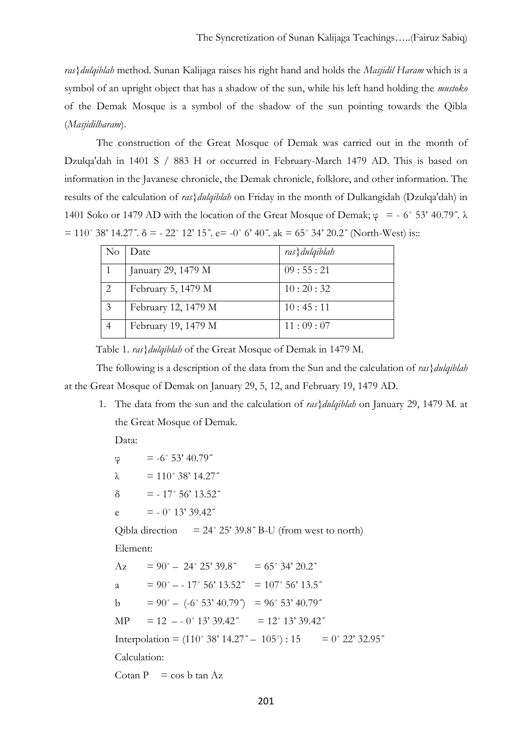*ras}dulqiblah* method. Sunan Kalijaga raises his right hand and holds the *Masjidil Haram* which is a symbol of an upright object that has a shadow of the sun, while his left hand holding the *mustoko* of the Demak Mosque is a symbol of the shadow of the sun pointing towards the Qibla (*Masjidilharam*).

The construction of the Great Mosque of Demak was carried out in the month of Dzulqa'dah in 1401 S / 883 H or occurred in February-March 1479 AD. This is based on information in the Javanese chronicle, the Demak chronicle, folklore, and other information. The results of the calculation of *ras}dulqiblah* on Friday in the month of Dulkangidah (Dzulqa'dah) in 1401 Soko or 1479 AD with the location of the Great Mosque of Demak;  $\varphi = -6^{\circ} 53' 40.79''$ .  $\lambda$  $= 110^{\circ}$  38' 14.27".  $\delta = -22^{\circ}$  12' 15".  $e = -0^{\circ}$  6' 40". ak = 65° 34' 20.2" (North-West) is::

| N <sub>o</sub> | Date                | ras} dulqiblah |
|----------------|---------------------|----------------|
|                | January 29, 1479 M  | 09:55:21       |
|                | February 5, 1479 M  | 10:20:32       |
| 3              | February 12, 1479 M | 10:45:11       |
|                | February 19, 1479 M | 11:09:07       |

Table 1. *ras}dulqiblah* of the Great Mosque of Demak in 1479 M.

The following is a description of the data from the Sun and the calculation of *ras}dulqiblah* at the Great Mosque of Demak on January 29, 5, 12, and February 19, 1479 AD.

1. The data from the sun and the calculation of *ras}dulqiblah* on January 29, 1479 M. at the Great Mosque of Demak.

Data:

 $\varphi = -6^{\circ} 53' 40.79''$  $λ = 110° 38' 14.27''$  $\delta$  = -17° 56' 13.52" e  $= -0^{\circ} 13' 39.42''$ Qibla direction  $= 24^{\circ} 25' 39.8''$  B-U (from west to north) Element: Az =  $90^{\circ} - 24^{\circ} 25' 39.8'' = 65^{\circ} 34' 20.2''$ a =  $90^{\circ} - 17^{\circ} 56' 13.52'' = 107^{\circ} 56' 13.5''$ b =  $90^{\circ} - (-6^{\circ} 53' 40.79'') = 96^{\circ} 53' 40.79''$  $MP = 12 - 0° 13' 39.42'' = 12° 13' 39.42''$ Interpolation =  $(110° 38' 14.27'' - 105°)$ : 15 = 0° 22' 32.95" Calculation: Cotan  $P = \cos b \tan Ax$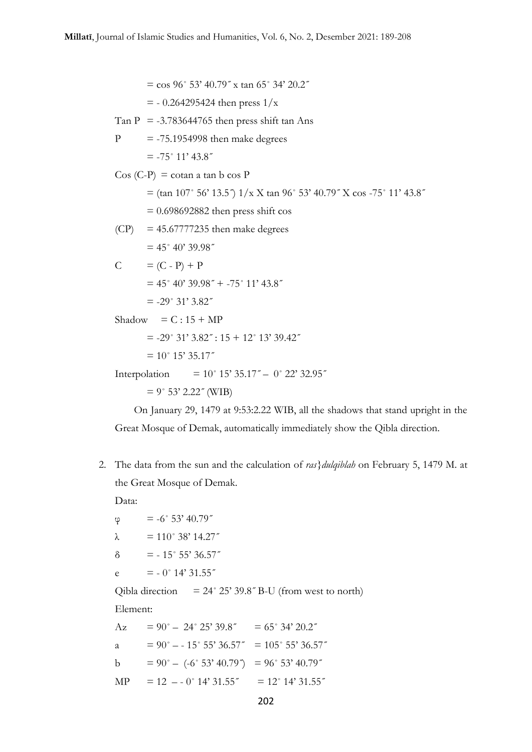$=$  cos 96° 53' 40.79" x tan 65° 34' 20.2"

 $=$  - 0.264295424 then press  $1/x$ Tan P =  $-3.783644765$  then press shift tan Ans  $P = -75.1954998$  then make degrees  $=$  -75 $^{\circ}$  11' 43.8"  $Cos (C-P) = cotan a tan b cos P$  $=$  (tan 107° 56' 13.5") 1/x X tan 96° 53' 40.79" X cos -75° 11' 43.8"  $= 0.698692882$  then press shift cos  $(CP) = 45.67777235$  then make degrees  $= 45^{\circ} 40' 39.98''$  $C = (C - P) + P$  $= 45^{\circ} 40' 39.98'' + -75^{\circ} 11' 43.8''$  $= -29°31'3.82''$  $Shadow = C : 15 + MP$  $= -29^{\circ} 31' 3.82''$ :  $15 + 12^{\circ} 13' 39.42''$  $= 10^{\circ} 15' 35.17''$ Interpolation =  $10^{\circ} 15' 35.17'' - 0^{\circ} 22' 32.95''$  $= 9^{\circ}$  53' 2.22" (WIB)

On January 29, 1479 at 9:53:2.22 WIB, all the shadows that stand upright in the Great Mosque of Demak, automatically immediately show the Qibla direction.

2. The data from the sun and the calculation of *ras}dulqiblah* on February 5, 1479 M. at the Great Mosque of Demak.

Data:

 $\varphi = -6^{\circ} 53' 40.79''$ 

 $λ = 110° 38' 14.27''$  $\delta$  = -15° 55' 36.57" e =  $-0^{\circ}$  14' 31.55" Qibla direction  $= 24^{\circ} 25' 39.8''$  B-U (from west to north) Element: Az =  $90^{\circ} - 24^{\circ} 25' 39.8'' = 65^{\circ} 34' 20.2''$ a =  $90^{\circ} - 15^{\circ} 55' 36.57'' = 105^{\circ} 55' 36.57''$ b =  $90^{\circ} - (-6^{\circ} 53' 40.79^{\circ}) = 96^{\circ} 53' 40.79^{\circ}$  $MP = 12 - 0°14'31.55'' = 12°14'31.55''$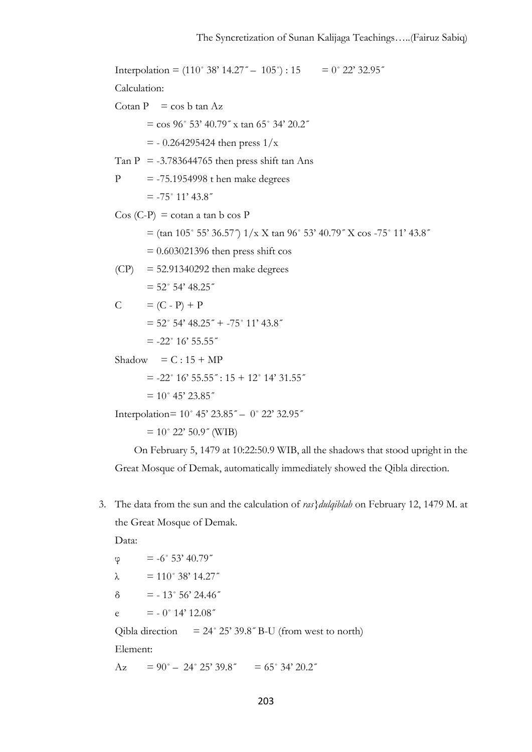Interpolation =  $(110° 38' 14.27'' - 105°) : 15 = 0° 22' 32.95''$ Calculation: Cotan  $P = \cos b \tan Az$  $=$  cos 96° 53' 40.79" x tan 65° 34' 20.2"  $=$  - 0.264295424 then press  $1/x$ Tan P =  $-3.783644765$  then press shift tan Ans  $P = -75.1954998$  t hen make degrees  $=$  -75 $^{\circ}$  11' 43.8"  $Cos (C-P) = cotan a tan b cos P$  $=$  (tan 105° 55' 36.57") 1/x X tan 96° 53' 40.79" X cos -75° 11' 43.8"  $= 0.603021396$  then press shift cos  $(CP) = 52.91340292$  then make degrees  $= 52° 54' 48.25''$  $C = (C - P) + P$  $= 52^{\circ} 54' 48.25'' + -75^{\circ} 11' 43.8''$  $= -22^{\circ} 16' 55.55''$ Shadow  $= C : 15 + MP$  $= -22^{\circ} 16' 55.55''$ :  $15 + 12^{\circ} 14' 31.55''$  $= 10^{\circ}$  45' 23.85"

Interpolation=  $10^{\circ}$  45' 23.85" –  $0^{\circ}$  22' 32.95"

 $= 10^{\circ}$  22' 50.9" (WIB)

On February 5, 1479 at 10:22:50.9 WIB, all the shadows that stood upright in the Great Mosque of Demak, automatically immediately showed the Qibla direction.

3. The data from the sun and the calculation of *ras}dulqiblah* on February 12, 1479 M. at the Great Mosque of Demak.

Data:

 $\varphi = -6^{\circ} 53' 40.79''$  $λ = 110° 38' 14.27''$ δ = - 13˚ 56' 24.46˝ e  $= -0^{\circ} 14' 12.08''$ Qibla direction  $= 24^{\circ} 25' 39.8''$  B-U (from west to north) Element: Az =  $90^{\circ} - 24^{\circ} 25' 39.8'' = 65^{\circ} 34' 20.2''$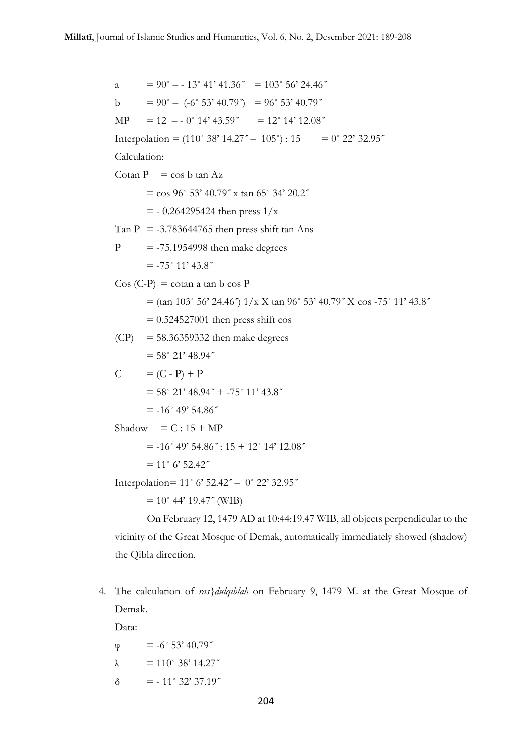a =  $90^{\circ} - 13^{\circ} 41' 41.36'' = 103^{\circ} 56' 24.46''$ b =  $90^{\circ} - (-6^{\circ} 53' 40.79^{\circ}) = 96^{\circ} 53' 40.79^{\circ}$ MP =  $12 - 0$ ° 14' 43.59" =  $12$ ° 14' 12.08" Interpolation =  $(110° 38' 14.27'' - 105°)$ : 15 = 0° 22' 32.95" Calculation: Cotan  $P = \cos b \tan Az$  $=$  cos 96° 53' 40.79" x tan 65° 34' 20.2"  $=$  - 0.264295424 then press  $1/x$ Tan P =  $-3.783644765$  then press shift tan Ans  $P = -75.1954998$  then make degrees  $=$  -75 $^{\circ}$  11' 43.8"  $Cos (C-P) = cotan a tan b cos P$  $=$  (tan 103° 56' 24.46")  $1/x$  X tan 96° 53' 40.79" X cos -75° 11' 43.8"  $= 0.524527001$  then press shift cos  $(CP) = 58.36359332$  then make degrees  $= 58° 21' 48.94''$  $C = (C - P) + P$  $= 58° 21' 48.94'' + -75° 11' 43.8''$  $= -16° 49' 54.86"$ Shadow  $= C : 15 + MP$  $=$  -16° 49' 54.86": 15 + 12° 14' 12.08"  $= 11^{\circ}$  6' 52.42" Interpolation= 11˚ 6' 52.42˝ – 0˚ 22' 32.95˝  $= 10^{\circ}$  44' 19.47" (WIB) On February 12, 1479 AD at 10:44:19.47 WIB, all objects perpendicular to the vicinity of the Great Mosque of Demak, automatically immediately showed (shadow) the Qibla direction.

4. The calculation of *ras}dulqiblah* on February 9, 1479 M. at the Great Mosque of Demak.

Data:

 $\varphi = -6^{\circ} 53' 40.79''$  $λ = 110° 38' 14.27"$  $\delta$  = -11° 32' 37.19"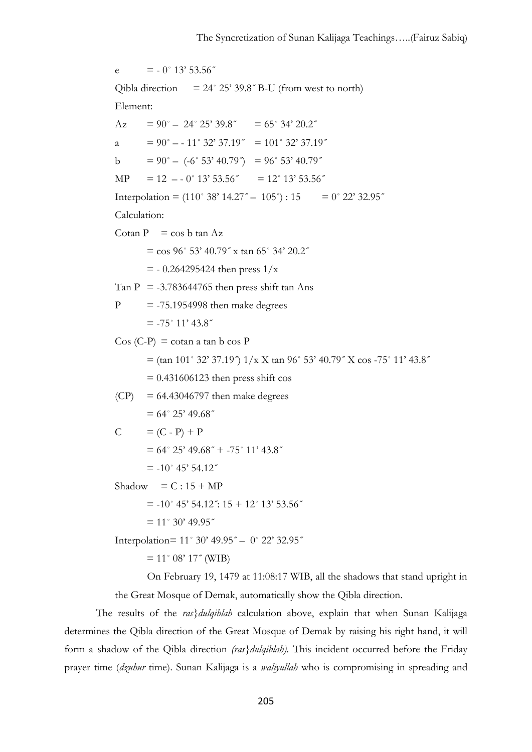e  $= -0^{\circ} 13' 53.56''$ Qibla direction  $= 24^{\circ} 25' 39.8''$  B-U (from west to north) Element: Az =  $90^{\circ} - 24^{\circ} 25' 39.8'' = 65^{\circ} 34' 20.2''$ a =  $90^{\circ} - 11^{\circ} 32' 37.19'' = 101^{\circ} 32' 37.19''$ b =  $90^{\circ} - (-6^{\circ} 53' 40.79' ) = 96^{\circ} 53' 40.79''$ MP =  $12 - 0^{\circ} 13' 53.56''$  =  $12^{\circ} 13' 53.56''$ Interpolation =  $(110° 38' 14.27'' - 105°)$ : 15 = 0° 22' 32.95" Calculation: Cotan  $P = \cos b \tan Az$  $=$  cos 96° 53' 40.79" x tan 65° 34' 20.2"  $=$  - 0.264295424 then press  $1/x$ Tan P =  $-3.783644765$  then press shift tan Ans  $P = -75.1954998$  then make degrees  $=$  -75 $^{\circ}$  11' 43.8"  $Cos (C-P) = cotan a tan b cos P$  $=$  (tan 101° 32' 37.19") 1/x X tan 96° 53' 40.79" X cos -75° 11' 43.8"  $= 0.431606123$  then press shift cos  $(CP) = 64.43046797$  then make degrees  $= 64° 25' 49.68''$  $C = (C - P) + P$  $= 64^{\circ} 25' 49.68'' + -75^{\circ} 11' 43.8''$  $= -10^{\circ}$  45' 54.12"  $Shadow = C : 15 + MP$  $=$  -10 $\degree$  45 $\degree$  54.12": 15 + 12 $\degree$  13 $\degree$  53.56"  $= 11^{\circ} 30' 49.95''$ Interpolation= 11˚ 30' 49.95˝ – 0˚ 22' 32.95˝  $= 11^{\circ}$  08' 17" (WIB) On February 19, 1479 at 11:08:17 WIB, all the shadows that stand upright in the Great Mosque of Demak, automatically show the Qibla direction. The results of the *ras}dulqiblah* calculation above, explain that when Sunan Kalijaga determines the Qibla direction of the Great Mosque of Demak by raising his right hand, it will form a shadow of the Qibla direction *(ras}dulqiblah).* This incident occurred before the Friday

prayer time (*dzuhur* time). Sunan Kalijaga is a *waliyullah* who is compromising in spreading and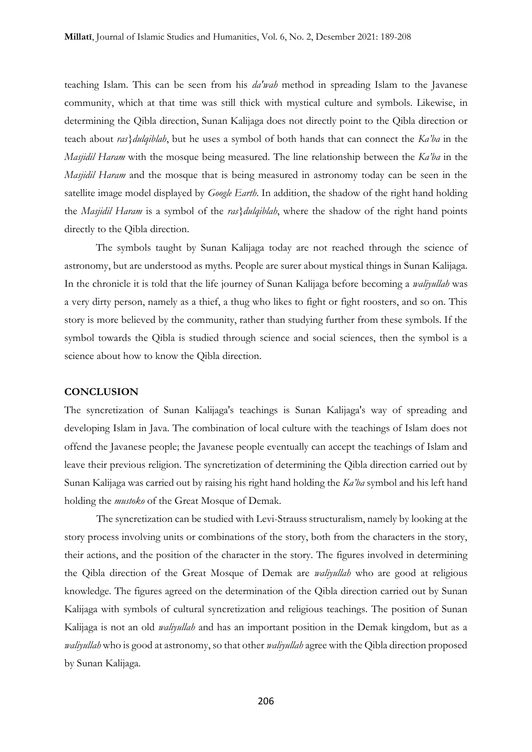teaching Islam. This can be seen from his *da'wah* method in spreading Islam to the Javanese community, which at that time was still thick with mystical culture and symbols. Likewise, in determining the Qibla direction, Sunan Kalijaga does not directly point to the Qibla direction or teach about *ras}dulqiblah*, but he uses a symbol of both hands that can connect the *Ka'ba* in the *Masjidil Haram* with the mosque being measured. The line relationship between the *Ka'ba* in the *Masjidil Haram* and the mosque that is being measured in astronomy today can be seen in the satellite image model displayed by *Google Earth*. In addition, the shadow of the right hand holding the *Masjidil Haram* is a symbol of the *ras}dulqiblah*, where the shadow of the right hand points directly to the Qibla direction.

The symbols taught by Sunan Kalijaga today are not reached through the science of astronomy, but are understood as myths. People are surer about mystical things in Sunan Kalijaga. In the chronicle it is told that the life journey of Sunan Kalijaga before becoming a *waliyullah* was a very dirty person, namely as a thief, a thug who likes to fight or fight roosters, and so on. This story is more believed by the community, rather than studying further from these symbols. If the symbol towards the Qibla is studied through science and social sciences, then the symbol is a science about how to know the Qibla direction.

#### **CONCLUSION**

The syncretization of Sunan Kalijaga's teachings is Sunan Kalijaga's way of spreading and developing Islam in Java. The combination of local culture with the teachings of Islam does not offend the Javanese people; the Javanese people eventually can accept the teachings of Islam and leave their previous religion. The syncretization of determining the Qibla direction carried out by Sunan Kalijaga was carried out by raising his right hand holding the *Ka'ba* symbol and his left hand holding the *mustoko* of the Great Mosque of Demak.

The syncretization can be studied with Levi-Strauss structuralism, namely by looking at the story process involving units or combinations of the story, both from the characters in the story, their actions, and the position of the character in the story. The figures involved in determining the Qibla direction of the Great Mosque of Demak are *waliyullah* who are good at religious knowledge. The figures agreed on the determination of the Qibla direction carried out by Sunan Kalijaga with symbols of cultural syncretization and religious teachings. The position of Sunan Kalijaga is not an old *waliyullah* and has an important position in the Demak kingdom, but as a *waliyullah* who is good at astronomy, so that other *waliyullah* agree with the Qibla direction proposed by Sunan Kalijaga.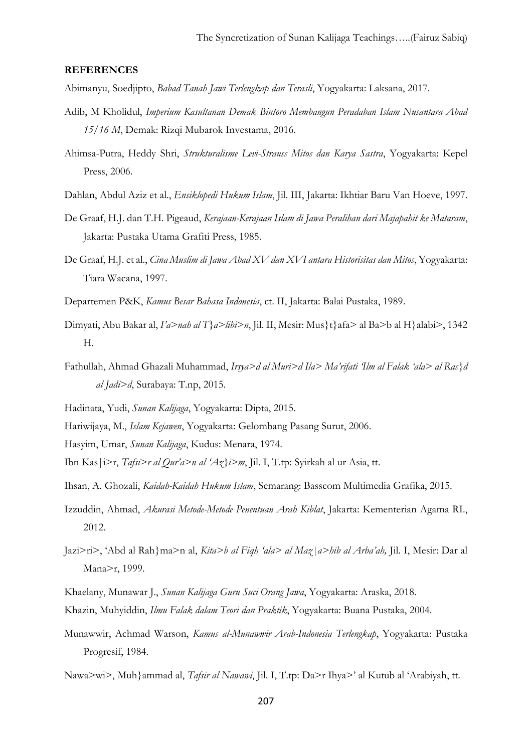#### **REFERENCES**

Abimanyu, Soedjipto, *Babad Tanah Jawi Terlengkap dan Terasli*, Yogyakarta: Laksana, 2017.

- Adib, M Kholidul, *Imperium Kasultanan Demak Bintoro Membangun Peradaban Islam Nusantara Abad 15/16 M*, Demak: Rizqi Mubarok Investama, 2016.
- Ahimsa-Putra, Heddy Shri, *Strukturalisme Levi-Strauss Mitos dan Karya Sastra*, Yogyakarta: Kepel Press, 2006.
- Dahlan, Abdul Aziz et al., *Ensiklopedi Hukum Islam*, Jil. III, Jakarta: Ikhtiar Baru Van Hoeve, 1997.
- De Graaf, H.J. dan T.H. Pigeaud, *Kerajaan-Kerajaan Islam di Jawa Peralihan dari Majapahit ke Mataram*, Jakarta: Pustaka Utama Grafiti Press, 1985.
- De Graaf, H.J. et al., *Cina Muslim di Jawa Abad XV dan XVI antara Historisitas dan Mitos*, Yogyakarta: Tiara Wacana, 1997.
- Departemen P&K, *Kamus Besar Bahasa Indonesia*, ct. II, Jakarta: Balai Pustaka, 1989.
- Dimyati, Abu Bakar al, *I'a>nah al T}a>libi>n*, Jil. II, Mesir: Mus}t}afa> al Ba>b al H}alabi>, 1342 H.
- Fathullah, Ahmad Ghazali Muhammad, *Irsya>d al Muri>d Ila> Ma'rifati 'Ilm al Falak 'ala> al Ras}d al Jadi>d*, Surabaya: T.np, 2015.
- Hadinata, Yudi, *Sunan Kalijaga*, Yogyakarta: Dipta, 2015.
- Hariwijaya, M., *Islam Kejawen*, Yogyakarta: Gelombang Pasang Surut, 2006.
- Hasyim, Umar, *Sunan Kalijaga*, Kudus: Menara, 1974.
- Ibn Kas|i>r, *Tafsi>r al Qur'a>n al 'Az}i>m*, Jil. I, T.tp: Syirkah al ur Asia, tt.
- Ihsan, A. Ghozali, *Kaidah-Kaidah Hukum Islam*, Semarang: Basscom Multimedia Grafika, 2015.
- Izzuddin, Ahmad, *Akurasi Metode-Metode Penentuan Arah Kiblat*, Jakarta: Kementerian Agama RI., 2012.
- Jazi>ri>, 'Abd al Rah}ma>n al, *Kita>b al Fiqh 'ala> al Maz|a>hib al Arba'ah,* Jil. I, Mesir: Dar al Mana>r, 1999.
- Khaelany, Munawar J., *Sunan Kalijaga Guru Suci Orang Jawa*, Yogyakarta: Araska, 2018.
- Khazin, Muhyiddin, *Ilmu Falak dalam Teori dan Praktik*, Yogyakarta: Buana Pustaka, 2004.
- Munawwir, Achmad Warson, *Kamus al-Munawwir Arab-Indonesia Terlengkap*, Yogyakarta: Pustaka Progresif, 1984.
- Nawa>wi>, Muh}ammad al, *Tafsir al Nawawi*, Jil. I, T.tp: Da>r Ihya>' al Kutub al 'Arabiyah, tt.